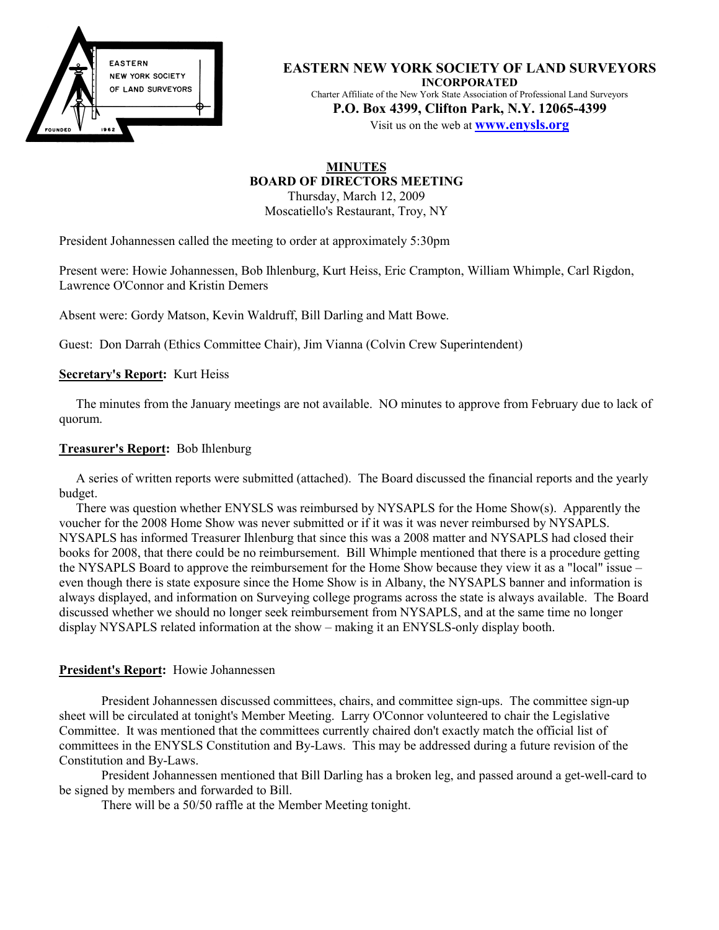

**EASTERN NEW YORK SOCIETY OF LAND SURVEYORS INCORPORATED** Charter Affiliate of the New York State Association of Professional Land Surveyors **P.O. Box 4399, Clifton Park, N.Y. 12065-4399** Visit us on the web at **www.enysls.org**

#### **MINUTES BOARD OF DIRECTORS MEETING** Thursday, March 12, 2009

Moscatiello's Restaurant, Troy, NY

President Johannessen called the meeting to order at approximately 5:30pm

Present were: Howie Johannessen, Bob Ihlenburg, Kurt Heiss, Eric Crampton, William Whimple, Carl Rigdon, Lawrence O'Connor and Kristin Demers

Absent were: Gordy Matson, Kevin Waldruff, Bill Darling and Matt Bowe.

Guest: Don Darrah (Ethics Committee Chair), Jim Vianna (Colvin Crew Superintendent)

#### **Secretary's Report:** Kurt Heiss

The minutes from the January meetings are not available. NO minutes to approve from February due to lack of quorum.

#### **Treasurer's Report:** Bob Ihlenburg

A series of written reports were submitted (attached). The Board discussed the financial reports and the yearly budget.

There was question whether ENYSLS was reimbursed by NYSAPLS for the Home Show(s). Apparently the voucher for the 2008 Home Show was never submitted or if it was it was never reimbursed by NYSAPLS. NYSAPLS has informed Treasurer Ihlenburg that since this was a 2008 matter and NYSAPLS had closed their books for 2008, that there could be no reimbursement. Bill Whimple mentioned that there is a procedure getting the NYSAPLS Board to approve the reimbursement for the Home Show because they view it as a "local" issue – even though there is state exposure since the Home Show is in Albany, the NYSAPLS banner and information is always displayed, and information on Surveying college programs across the state is always available. The Board discussed whether we should no longer seek reimbursement from NYSAPLS, and at the same time no longer display NYSAPLS related information at the show – making it an ENYSLS-only display booth.

#### **President's Report:** Howie Johannessen

President Johannessen discussed committees, chairs, and committee sign-ups. The committee sign-up sheet will be circulated at tonight's Member Meeting. Larry O'Connor volunteered to chair the Legislative Committee. It was mentioned that the committees currently chaired don't exactly match the official list of committees in the ENYSLS Constitution and By-Laws. This may be addressed during a future revision of the Constitution and By-Laws.

President Johannessen mentioned that Bill Darling has a broken leg, and passed around a get-well-card to be signed by members and forwarded to Bill.

There will be a 50/50 raffle at the Member Meeting tonight.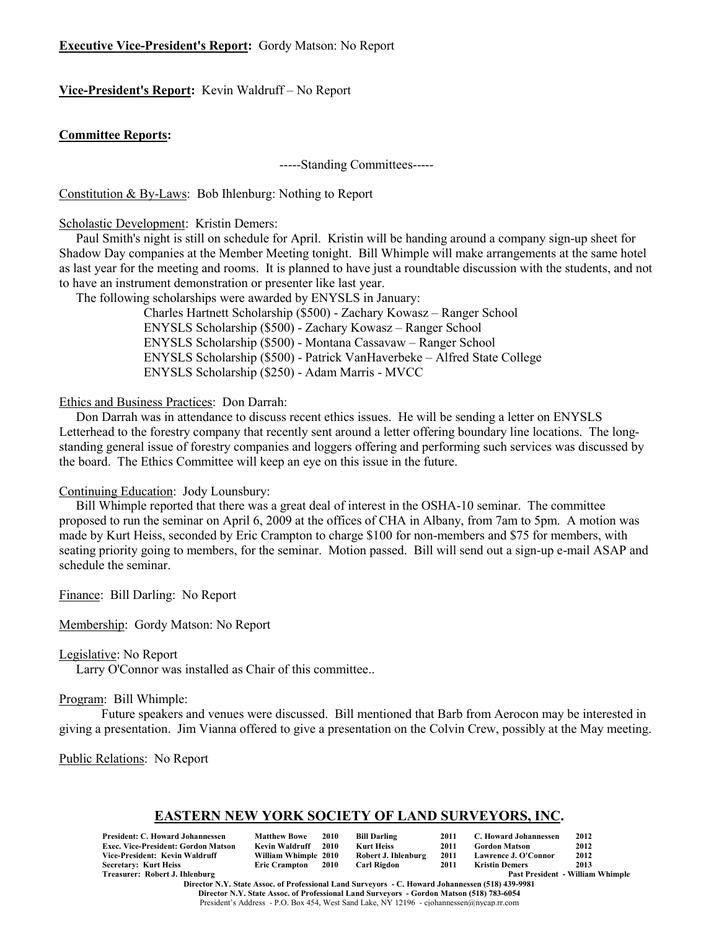#### **Executive Vice-President's Report:** Gordy Matson: No Report

#### **Vice-President's Report:** Kevin Waldruff – No Report

#### **Committee Reports:**

-----Standing Committees-----

Constitution & By-Laws: Bob Ihlenburg: Nothing to Report

Scholastic Development: Kristin Demers:

Paul Smith's night is still on schedule for April. Kristin will be handing around a company sign-up sheet for Shadow Day companies at the Member Meeting tonight. Bill Whimple will make arrangements at the same hotel as last year for the meeting and rooms. It is planned to have just a roundtable discussion with the students, and not to have an instrument demonstration or presenter like last year.

The following scholarships were awarded by ENYSLS in January:

Charles Hartnett Scholarship (\$500) - Zachary Kowasz – Ranger School ENYSLS Scholarship (\$500) - Zachary Kowasz – Ranger School ENYSLS Scholarship (\$500) - Montana Cassavaw – Ranger School ENYSLS Scholarship (\$500) - Patrick VanHaverbeke – Alfred State College ENYSLS Scholarship (\$250) - Adam Marris - MVCC

#### Ethics and Business Practices: Don Darrah:

Don Darrah was in attendance to discuss recent ethics issues. He will be sending a letter on ENYSLS Letterhead to the forestry company that recently sent around a letter offering boundary line locations. The longstanding general issue of forestry companies and loggers offering and performing such services was discussed by the board. The Ethics Committee will keep an eye on this issue in the future.

#### Continuing Education: Jody Lounsbury:

Bill Whimple reported that there was a great deal of interest in the OSHA-10 seminar. The committee proposed to run the seminar on April 6, 2009 at the offices of CHA in Albany, from 7am to 5pm. A motion was made by Kurt Heiss, seconded by Eric Crampton to charge \$100 for non-members and \$75 for members, with seating priority going to members, for the seminar. Motion passed. Bill will send out a sign-up e-mail ASAP and schedule the seminar.

Finance: Bill Darling: No Report

Membership: Gordy Matson: No Report

Legislative: No Report

Larry O'Connor was installed as Chair of this committee..

#### Program: Bill Whimple:

Future speakers and venues were discussed. Bill mentioned that Barb from Aerocon may be interested in giving a presentation. Jim Vianna offered to give a presentation on the Colvin Crew, possibly at the May meeting.

Public Relations: No Report

#### **EASTERN NEW YORK SOCIETY OF LAND SURVEYORS, INC.**

| President: C. Howard Johannessen    | <b>Matthew Bowe</b>  | 2010 | <b>Bill Darling</b> | 2011 | C. Howard Johannessen | 2012                                    |
|-------------------------------------|----------------------|------|---------------------|------|-----------------------|-----------------------------------------|
| Exec. Vice-President: Gordon Matson | Kevin Waldruff       | 2010 | Kurt Heiss          | 2011 | <b>Gordon Matson</b>  | 2012                                    |
| Vice-President: Kevin Waldruff      | William Whimple 2010 |      | Robert J. Ihlenburg | 2011 | Lawrence J. O'Connor  | 2012                                    |
| Secretary: Kurt Heiss               | Eric Crampton 2010   |      | Carl Rigdon         | 2011 | Kristin Demers        | 2013                                    |
| Treasurer: Robert J. Ihlenburg      |                      |      |                     |      |                       | <b>Past President - William Whimple</b> |

**Director N.Y. State Assoc. of Professional Land Surveyors - C. Howard Johannessen (518) 439-9981 Director N.Y. State Assoc. of Professional Land Surveyors - Gordon Matson (518) 783-6054** President's Address - P.O. Box 454, West Sand Lake, NY 12196 - cjohannessen@nycap.rr.com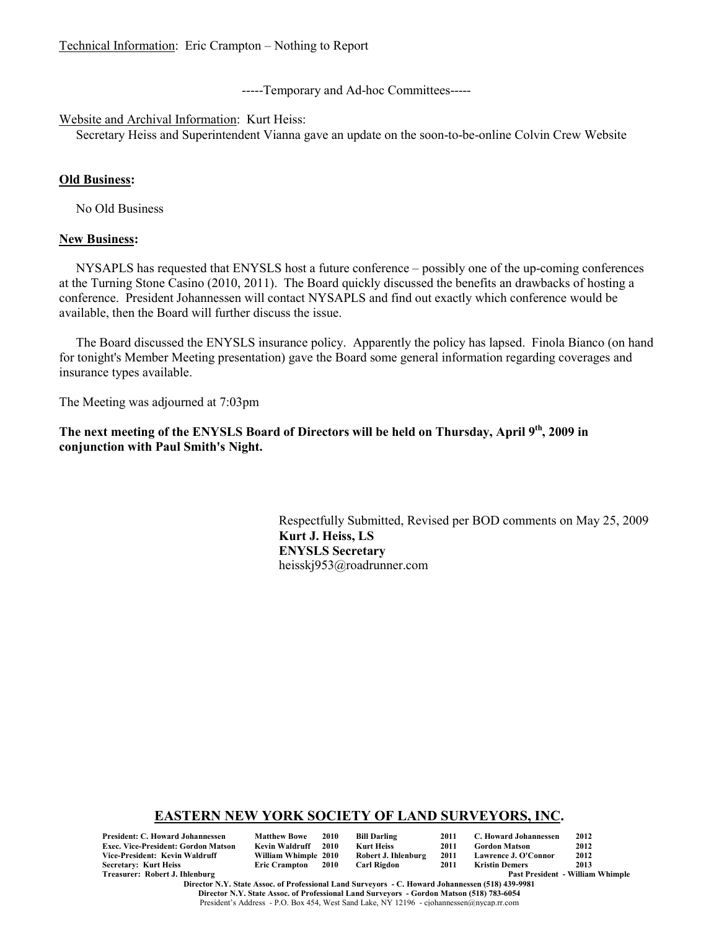-----Temporary and Ad-hoc Committees-----

#### Website and Archival Information: Kurt Heiss:

Secretary Heiss and Superintendent Vianna gave an update on the soon-to-be-online Colvin Crew Website

#### **Old Business:**

No Old Business

#### **New Business:**

NYSAPLS has requested that ENYSLS host a future conference – possibly one of the up-coming conferences at the Turning Stone Casino (2010, 2011). The Board quickly discussed the benefits an drawbacks of hosting a conference. President Johannessen will contact NYSAPLS and find out exactly which conference would be available, then the Board will further discuss the issue.

The Board discussed the ENYSLS insurance policy. Apparently the policy has lapsed. Finola Bianco (on hand for tonight's Member Meeting presentation) gave the Board some general information regarding coverages and insurance types available.

The Meeting was adjourned at 7:03pm

The next meeting of the ENYSLS Board of Directors will be held on Thursday, April 9<sup>th</sup>, 2009 in **conjunction with Paul Smith's Night.**

> Respectfully Submitted, Revised per BOD comments on May 25, 2009 **Kurt J. Heiss, LS ENYSLS Secretary** heisskj953@roadrunner.com

#### **EASTERN NEW YORK SOCIETY OF LAND SURVEYORS, INC.**

| <b>President: C. Howard Johannessen</b>    | <b>Matthew Bowe</b>  | 2010 | <b>Bill Darling</b> | 2011 | C. Howard Johannessen       | 2012                                    |
|--------------------------------------------|----------------------|------|---------------------|------|-----------------------------|-----------------------------------------|
| <b>Exec. Vice-President: Gordon Matson</b> | Kevin Waldruff       | 2010 | Kurt Heiss          | 2011 | <b>Gordon Matson</b>        | 2012                                    |
| Vice-President: Kevin Waldruff             | William Whimple 2010 |      | Robert J. Ihlenburg | 2011 | <b>Lawrence J. O'Connor</b> | 2012                                    |
| <b>Secretary: Kurt Heiss</b>               | Eric Crampton 2010   |      | Carl Rigdon         | 2011 | Kristin Demers              | 2013                                    |
| Treasurer: Robert J. Ihlenburg             |                      |      |                     |      |                             | <b>Past President - William Whimple</b> |

**Director N.Y. State Assoc. of Professional Land Surveyors - C. Howard Johannessen (518) 439-9981 Director N.Y. State Assoc. of Professional Land Surveyors - Gordon Matson (518) 783-6054** President's Address - P.O. Box 454, West Sand Lake, NY 12196 - cjohannessen@nycap.rr.com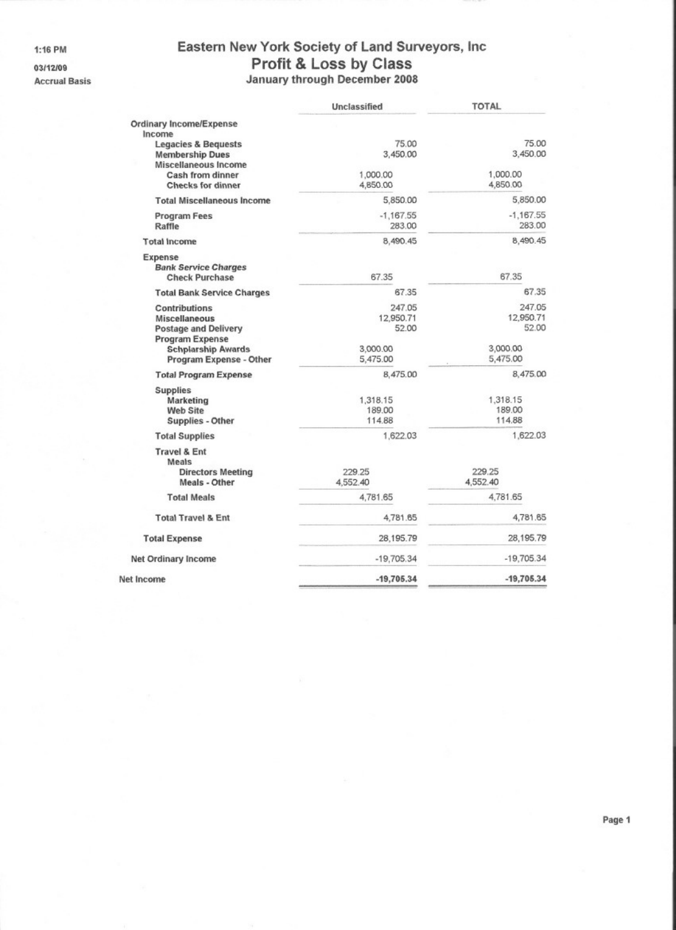#### 1:16 PM

03/12/09

**Accrual Basis** 

# Eastern New York Society of Land Surveyors, Inc Profit & Loss by Class<br>January through December 2008

|                                                                                                                                                                       | Unclassified                              | <b>TOTAL</b>                              |
|-----------------------------------------------------------------------------------------------------------------------------------------------------------------------|-------------------------------------------|-------------------------------------------|
| Ordinary Income/Expense<br>Income<br><b>Legacies &amp; Bequests</b><br><b>Membership Dues</b><br>Miscellaneous Income<br>Cash from dinner<br><b>Checks for dinner</b> | 75.00<br>3.450.00<br>1,000.00<br>4,850.00 | 75.00<br>3,450.00<br>1,000.00<br>4,850.00 |
| <b>Total Miscellaneous Income</b>                                                                                                                                     | 5,850.00                                  | 5,850.00                                  |
| <b>Program Fees</b><br>Raffle                                                                                                                                         | $-1,167.55$<br>283.00                     | $-1,167.55$<br>283.00                     |
| <b>Total Income</b>                                                                                                                                                   | 8,490.45                                  | 8,490.45                                  |
| Expense<br><b>Bank Service Charges</b><br><b>Check Purchase</b>                                                                                                       | 67.35                                     | 67.35                                     |
| <b>Total Bank Service Charges</b>                                                                                                                                     | 67.35                                     | 67.35                                     |
| <b>Contributions</b><br>Miscellaneous<br><b>Postage and Delivery</b><br><b>Program Expense</b>                                                                        | 247.05<br>12,950.71<br>52.00              | 247.05<br>12,950.71<br>52.00              |
| <b>Schplarship Awards</b><br>Program Expense - Other                                                                                                                  | 3,000.00<br>5,475.00                      | 3,000.00<br>5,475.00                      |
| <b>Total Program Expense</b>                                                                                                                                          | 8,475.00                                  | 8,475.00                                  |
| <b>Supplies</b><br>Marketing<br>Web Site<br>Supplies - Other                                                                                                          | 1,318.15<br>189.00<br>114.88              | 1,318.15<br>189,00<br>114.88              |
| <b>Total Supplies</b>                                                                                                                                                 | 1,622.03                                  | 1,622.03                                  |
| <b>Travel &amp; Ent</b><br>Meals<br><b>Directors Meeting</b><br>Meals - Other                                                                                         | 229.25<br>4,552.40                        | 229.25<br>4,552.40                        |
| <b>Total Meals</b>                                                                                                                                                    | 4.781.65                                  | 4.781.65                                  |
| <b>Total Travel &amp; Ent</b>                                                                                                                                         | 4,781.65                                  | 4,781.65                                  |
| <b>Total Expense</b>                                                                                                                                                  | 28,195.79                                 | 28,195.79                                 |
| Net Ordinary Income                                                                                                                                                   | $-19,705.34$                              | $-19,705.34$                              |
| Net Income                                                                                                                                                            | $-19,705.34$                              | $-19,705.34$                              |
|                                                                                                                                                                       |                                           |                                           |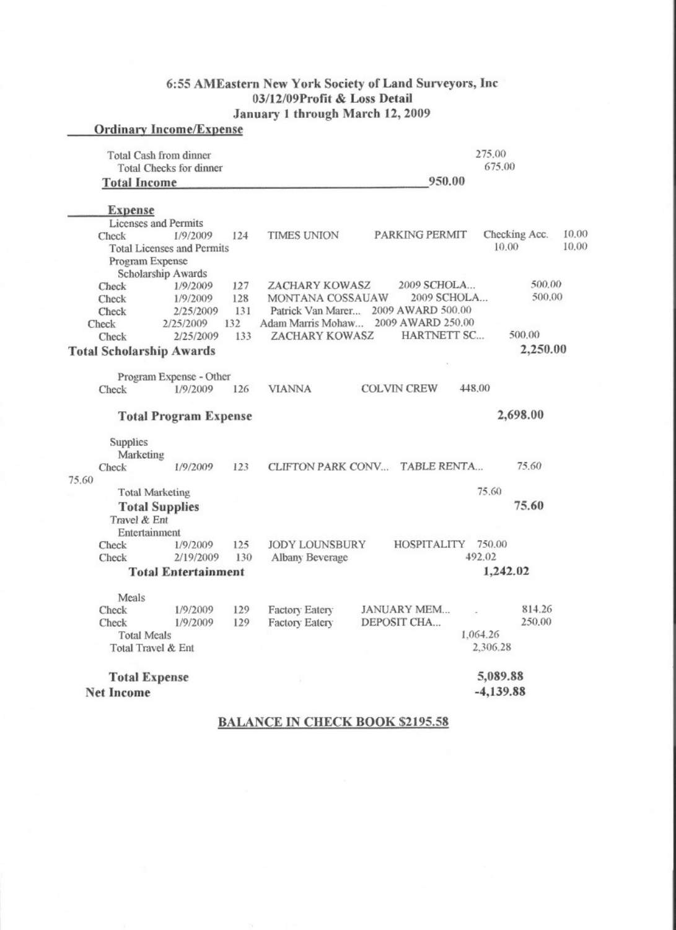### 6:55 AMEastern New York Society of Land Surveyors, Inc 03/12/09Profit & Loss Detail January 1 through March 12, 2009

| <b>Ordinary Income/Expense</b>                |                                   |     |                               |  |                                  |          |               |       |  |  |
|-----------------------------------------------|-----------------------------------|-----|-------------------------------|--|----------------------------------|----------|---------------|-------|--|--|
| Total Cash from dinner<br><b>Total Income</b> | Total Checks for dinner           |     | 275.00<br>675.00<br>950.00    |  |                                  |          |               |       |  |  |
|                                               |                                   |     |                               |  |                                  |          |               |       |  |  |
| <b>Expense</b>                                |                                   |     |                               |  |                                  |          |               |       |  |  |
| <b>Licenses</b> and Permits                   |                                   |     |                               |  |                                  |          |               |       |  |  |
| Check                                         | 1/9/2009                          | 124 | TIMES UNION                   |  | PARKING PERMIT                   |          | Checking Acc. | 10.00 |  |  |
|                                               | <b>Total Licenses and Permits</b> |     |                               |  |                                  |          | 10.00         | 10.00 |  |  |
| Program Expense                               |                                   |     |                               |  |                                  |          |               |       |  |  |
|                                               | Scholarship Awards                |     |                               |  |                                  |          |               |       |  |  |
| Check                                         | 1/9/2009                          | 127 | ZACHARY KOWASZ                |  | 2009 SCHOLA                      |          | 500.00        |       |  |  |
| Check                                         | 1/9/2009                          | 128 | MONTANA COSSAUAW              |  | 2009 SCHOLA                      |          | 500,00        |       |  |  |
| Check                                         | 2/25/2009                         | 131 | Patrick Van Marer             |  | 2009 AWARD 500.00                |          |               |       |  |  |
| Check                                         | 2/25/2009                         | 132 | Adam Marris Mohaw             |  | 2009 AWARD 250.00<br>HARTNETT SC |          | 500.00        |       |  |  |
| Check                                         | 2/25/2009                         | 133 | ZACHARY KOWASZ                |  |                                  |          |               |       |  |  |
| <b>Total Scholarship Awards</b>               |                                   |     |                               |  |                                  |          | 2,250.00      |       |  |  |
|                                               | Program Expense - Other           |     |                               |  |                                  |          |               |       |  |  |
| Check                                         | 1/9/2009                          | 126 | <b>VIANNA</b>                 |  | <b>COLVIN CREW</b>               | 448.00   |               |       |  |  |
|                                               |                                   |     |                               |  |                                  |          |               |       |  |  |
|                                               | <b>Total Program Expense</b>      |     |                               |  |                                  |          | 2,698.00      |       |  |  |
| Supplies<br>Marketing                         |                                   |     |                               |  |                                  |          |               |       |  |  |
| Check                                         | 1/9/2009                          | 123 | CLIFTON PARK CONV TABLE RENTA |  |                                  |          | 75.60         |       |  |  |
| 75.60                                         |                                   |     |                               |  |                                  |          |               |       |  |  |
| <b>Total Marketing</b>                        |                                   |     |                               |  |                                  | 75.60    |               |       |  |  |
| <b>Total Supplies</b>                         |                                   |     |                               |  |                                  |          | 75.60         |       |  |  |
| Travel & Ent                                  |                                   |     |                               |  |                                  |          |               |       |  |  |
| Entertainment                                 |                                   |     |                               |  |                                  |          |               |       |  |  |
| Check                                         | 1/9/2009                          | 125 | <b>JODY LOUNSBURY</b>         |  | HOSPITALITY                      | 750.00   |               |       |  |  |
| Check                                         | 2/19/2009                         | 130 | Albany Beverage               |  |                                  | 492.02   |               |       |  |  |
| <b>Total Entertainment</b>                    |                                   |     |                               |  |                                  |          | 1,242.02      |       |  |  |
|                                               |                                   |     |                               |  |                                  |          |               |       |  |  |
| Meals                                         |                                   |     |                               |  |                                  |          |               |       |  |  |
| Check                                         | 1/9/2009                          | 129 | Factory Eatery                |  | JANUARY MEM                      |          | 814.26        |       |  |  |
| Check                                         | 1/9/2009                          | 129 | Factory Eatery                |  | DEPOSIT CHA                      | 1,064.26 | 250.00        |       |  |  |
| <b>Total Meals</b><br>Total Travel & Ent      |                                   |     |                               |  | 2,306.28                         |          |               |       |  |  |
|                                               |                                   |     |                               |  |                                  |          |               |       |  |  |
|                                               |                                   |     |                               |  |                                  |          | 5,089.88      |       |  |  |
| <b>Total Expense</b>                          |                                   |     | W                             |  | $-4,139.88$                      |          |               |       |  |  |
| <b>Net Income</b>                             |                                   |     |                               |  |                                  |          |               |       |  |  |
|                                               |                                   |     |                               |  |                                  |          |               |       |  |  |

**BALANCE IN CHECK BOOK \$2195.58**